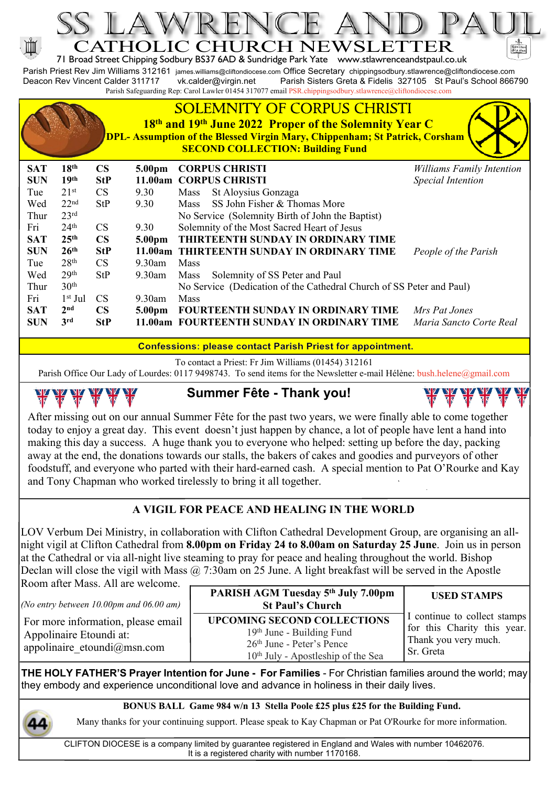

**Confessions: please contact Parish Priest for appointment.**

To contact a Priest: Fr Jim Williams (01454) 312161

Parish Office Our Lady of Lourdes: 0117 9498743. To send items for the Newsletter e-mail Hélène: bush.helene@gmail.com



**Summer Fête - Thank you!**

After missing out on our annual Summer Fête for the past two years, we were finally able to come together today to enjoy a great day. This event doesn't just happen by chance, a lot of people have lent a hand into making this day a success. A huge thank you to everyone who helped: setting up before the day, packing away at the end, the donations towards our stalls, the bakers of cakes and goodies and purveyors of other foodstuff, and everyone who parted with their hard-earned cash. A special mention to Pat O'Rourke and Kay and Tony Chapman who worked tirelessly to bring it all together.

## **A VIGIL FOR PEACE AND HEALING IN THE WORLD**

LOV Verbum Dei Ministry, in collaboration with Clifton Cathedral Development Group, are organising an allnight vigil at Clifton Cathedral from **8.00pm on Friday 24 to 8.00am on Saturday 25 June**. Join us in person at the Cathedral or via all-night live steaming to pray for peace and healing throughout the world. Bishop Declan will close the vigil with Mass  $\omega$  7:30am on 25 June. A light breakfast will be served in the Apostle Room after Mass. All are welcome.

*(No entry between 10.00pm and 06.00 am)*

For more information, please email Appolinaire Etoundi at: appolinaire\_etoundi@msn.com

#### **UPCOMING SECOND COLLECTIONS** 19th June - Building Fund 26th June - Peter's Pence 10th July - Apostleship of the Sea **PARISH AGM Tuesday 5th July 7.00pm St Paul's Church**

Thank you very much. Sr. Greta

**USED STAMPS**

**NY NY NY NY** 

I continue to collect stamps for this Charity this year.

**THE HOLY FATHER'S Prayer Intention for June - For Families** - For Christian families around the world; may they embody and experience unconditional love and advance in holiness in their daily lives.

**BONUS BALL Game 984 w/n 13 Stella Poole £25 plus £25 for the Building Fund.**

Many thanks for your continuing support. Please speak to Kay Chapman or Pat O'Rourke for more information.

CLIFTON DIOCESE is a company limited by guarantee registered in England and Wales with number 10462076. It is a registered charity with number 1170168.